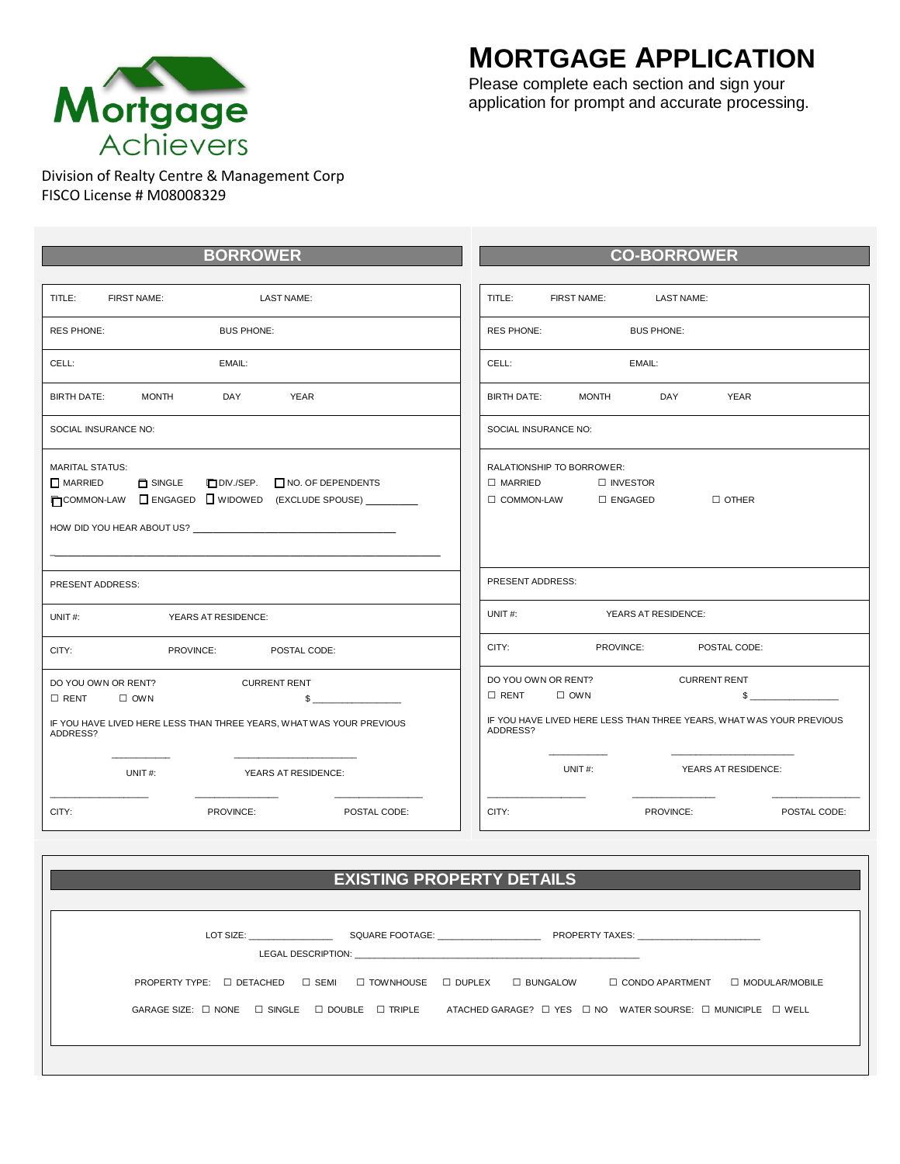

## **MORTGAGE APPLICATION**

Please complete each section and sign your application for prompt and accurate processing.

FISCO License # M08008329

| <b>BORROWER</b>                                                                                                                             | <b>CO-BORROWER</b>                                                                                       |  |  |  |
|---------------------------------------------------------------------------------------------------------------------------------------------|----------------------------------------------------------------------------------------------------------|--|--|--|
|                                                                                                                                             |                                                                                                          |  |  |  |
| TITLE:                                                                                                                                      | TITLE:                                                                                                   |  |  |  |
| FIRST NAME:                                                                                                                                 | FIRST NAME:                                                                                              |  |  |  |
| <b>LAST NAME:</b>                                                                                                                           | LAST NAME:                                                                                               |  |  |  |
| <b>RES PHONE:</b>                                                                                                                           | <b>RES PHONE:</b>                                                                                        |  |  |  |
| <b>BUS PHONE:</b>                                                                                                                           | <b>BUS PHONE:</b>                                                                                        |  |  |  |
| CELL:                                                                                                                                       | CELL:                                                                                                    |  |  |  |
| EMAIL:                                                                                                                                      | EMAIL:                                                                                                   |  |  |  |
| <b>MONTH</b>                                                                                                                                | <b>YEAR</b>                                                                                              |  |  |  |
| <b>YEAR</b>                                                                                                                                 | <b>BIRTH DATE:</b>                                                                                       |  |  |  |
| <b>BIRTH DATE:</b>                                                                                                                          | <b>MONTH</b>                                                                                             |  |  |  |
| DAY                                                                                                                                         | DAY                                                                                                      |  |  |  |
| SOCIAL INSURANCE NO:                                                                                                                        | SOCIAL INSURANCE NO:                                                                                     |  |  |  |
| <b>MARITAL STATUS:</b><br>$\Box$ MARRIED<br>SINGLE<br>DIV./SEP. NO. OF DEPENDENTS<br>COMMON-LAW C ENGAGED WIDOWED (EXCLUDE SPOUSE) ________ | RALATIONSHIP TO BORROWER:<br>$\Box$ MARRIED<br>□ INVESTOR<br>$\Box$ COMMON-LAW $\Box$ ENGAGED<br>□ OTHER |  |  |  |
| PRESENT ADDRESS:                                                                                                                            | PRESENT ADDRESS:                                                                                         |  |  |  |
| UNIT $#$ :                                                                                                                                  | UNIT#:                                                                                                   |  |  |  |
| YEARS AT RESIDENCE:                                                                                                                         | YEARS AT RESIDENCE:                                                                                      |  |  |  |
| CITY:                                                                                                                                       | CITY:                                                                                                    |  |  |  |
| PROVINCE:                                                                                                                                   | POSTAL CODE:                                                                                             |  |  |  |
| POSTAL CODE:                                                                                                                                | PROVINCE:                                                                                                |  |  |  |
| DO YOU OWN OR RENT?                                                                                                                         | DO YOU OWN OR RENT?                                                                                      |  |  |  |
| <b>CURRENT RENT</b>                                                                                                                         | <b>CURRENT RENT</b>                                                                                      |  |  |  |
| $\Box$ RENT                                                                                                                                 | $\Box$ RENT                                                                                              |  |  |  |
| $\Box$ OWN                                                                                                                                  | $\square$ OWN                                                                                            |  |  |  |
| $\mathbb{S}$                                                                                                                                | $\sim$                                                                                                   |  |  |  |
| IF YOU HAVE LIVED HERE LESS THAN THREE YEARS, WHAT WAS YOUR PREVIOUS                                                                        | IF YOU HAVE LIVED HERE LESS THAN THREE YEARS, WHAT WAS YOUR PREVIOUS                                     |  |  |  |
| ADDRESS?                                                                                                                                    | ADDRESS?                                                                                                 |  |  |  |
| UNIT#:                                                                                                                                      | UNIT#:                                                                                                   |  |  |  |
| <b>YEARS AT RESIDENCE:</b>                                                                                                                  | YEARS AT RESIDENCE:                                                                                      |  |  |  |
| CITY:                                                                                                                                       | CITY:                                                                                                    |  |  |  |
| PROVINCE:                                                                                                                                   | PROVINCE:                                                                                                |  |  |  |
| POSTAL CODE:                                                                                                                                | POSTAL CODE:                                                                                             |  |  |  |

| <b>EXISTING PROPERTY DETAILS</b>                                                                                                                   |                                              |
|----------------------------------------------------------------------------------------------------------------------------------------------------|----------------------------------------------|
| LOT SIZE: SQUARE FOOTAGE: PROPERTY TAXES:                                                                                                          |                                              |
| PROPERTY TYPE: □ DETACHED □ SEMI □ TOWNHOUSE □ DUPLEX □ BUNGALOW                                                                                   | $\Box$ CONDO APARTMENT $\Box$ MODULAR/MOBILE |
| GARAGE SIZE: $\Box$ NONE $\Box$ SINGLE $\Box$ DOUBLE $\Box$ TRIPLE ATACHED GARAGE? $\Box$ YES $\Box$ NO WATER SOURSE: $\Box$ MUNICIPLE $\Box$ WELL |                                              |